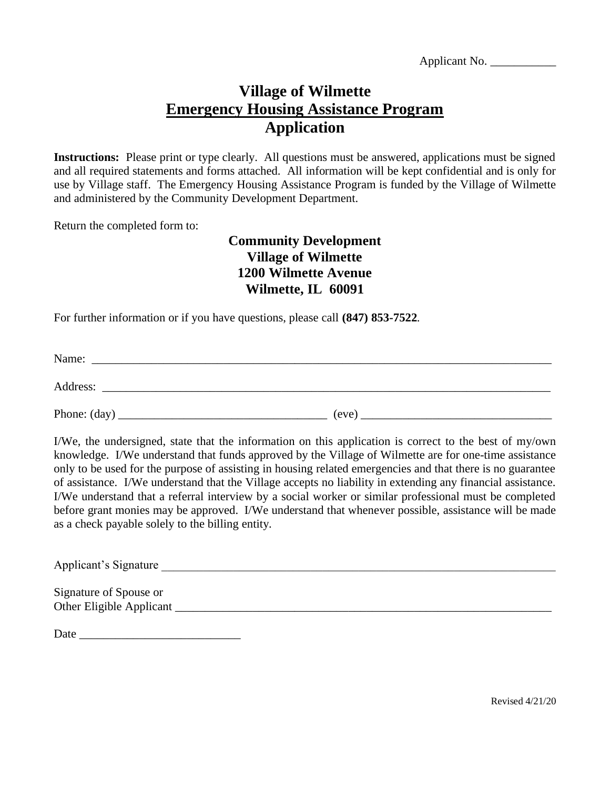Applicant No. \_\_\_\_\_\_\_\_\_\_\_

# **Village of Wilmette Emergency Housing Assistance Program Application**

**Instructions:** Please print or type clearly. All questions must be answered, applications must be signed and all required statements and forms attached. All information will be kept confidential and is only for use by Village staff. The Emergency Housing Assistance Program is funded by the Village of Wilmette and administered by the Community Development Department.

Return the completed form to:

## **Community Development Village of Wilmette 1200 Wilmette Avenue Wilmette, IL 60091**

For further information or if you have questions, please call **(847) 853-7522**.

Name: \_\_\_\_\_\_\_\_\_\_\_\_\_\_\_\_\_\_\_\_\_\_\_\_\_\_\_\_\_\_\_\_\_\_\_\_\_\_\_\_\_\_\_\_\_\_\_\_\_\_\_\_\_\_\_\_\_\_\_\_\_\_\_\_\_\_\_\_\_\_\_\_\_\_\_\_\_

Address: \_\_\_\_\_\_\_\_\_\_\_\_\_\_\_\_\_\_\_\_\_\_\_\_\_\_\_\_\_\_\_\_\_\_\_\_\_\_\_\_\_\_\_\_\_\_\_\_\_\_\_\_\_\_\_\_\_\_\_\_\_\_\_\_\_\_\_\_\_\_\_\_\_\_\_

Phone: (day) \_\_\_\_\_\_\_\_\_\_\_\_\_\_\_\_\_\_\_\_\_\_\_\_\_\_\_\_\_\_\_\_\_\_\_ (eve) \_\_\_\_\_\_\_\_\_\_\_\_\_\_\_\_\_\_\_\_\_\_\_\_\_\_\_\_\_\_\_\_

I/We, the undersigned, state that the information on this application is correct to the best of my/own knowledge. I/We understand that funds approved by the Village of Wilmette are for one-time assistance only to be used for the purpose of assisting in housing related emergencies and that there is no guarantee of assistance. I/We understand that the Village accepts no liability in extending any financial assistance. I/We understand that a referral interview by a social worker or similar professional must be completed before grant monies may be approved. I/We understand that whenever possible, assistance will be made as a check payable solely to the billing entity.

Applicant's Signature

Signature of Spouse or Other Eligible Applicant \_\_\_\_\_\_\_\_\_\_\_\_\_\_\_\_\_\_\_\_\_\_\_\_\_\_\_\_\_\_\_\_\_\_\_\_\_\_\_\_\_\_\_\_\_\_\_\_\_\_\_\_\_\_\_\_\_\_\_\_\_\_\_

Date \_\_\_\_\_\_\_\_\_\_\_\_\_\_\_\_\_\_\_\_\_\_\_\_\_\_\_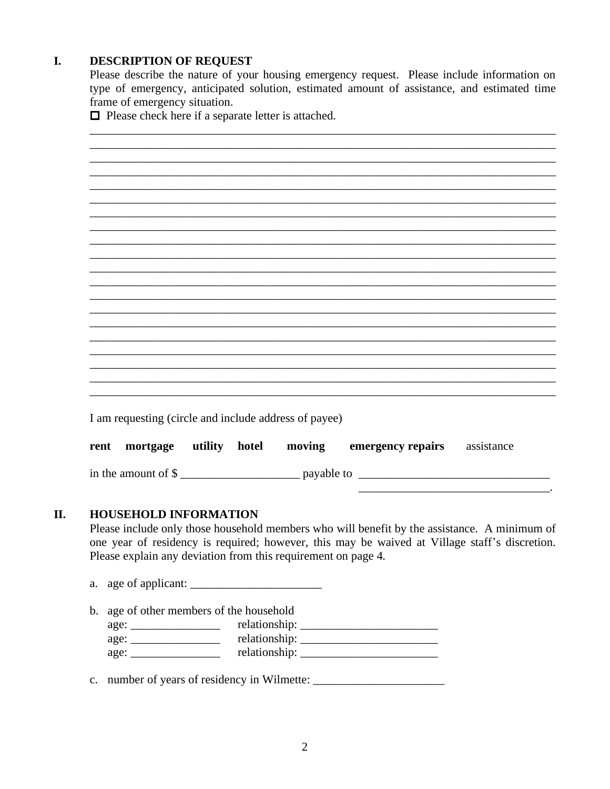#### I. **DESCRIPTION OF REQUEST**

Please describe the nature of your housing emergency request. Please include information on type of emergency, anticipated solution, estimated amount of assistance, and estimated time frame of emergency situation.

 $\Box$  Please check here if a separate letter is attached.

| I am requesting (circle and include address of payee) |  |                                                                 |  |
|-------------------------------------------------------|--|-----------------------------------------------------------------|--|
|                                                       |  | rent mortgage utility hotel moving emergency repairs assistance |  |
|                                                       |  |                                                                 |  |
|                                                       |  |                                                                 |  |

#### II. **HOUSEHOLD INFORMATION**

Please include only those household members who will benefit by the assistance. A minimum of one year of residency is required; however, this may be waived at Village staff's discretion. Please explain any deviation from this requirement on page 4.

b. age of other members of the household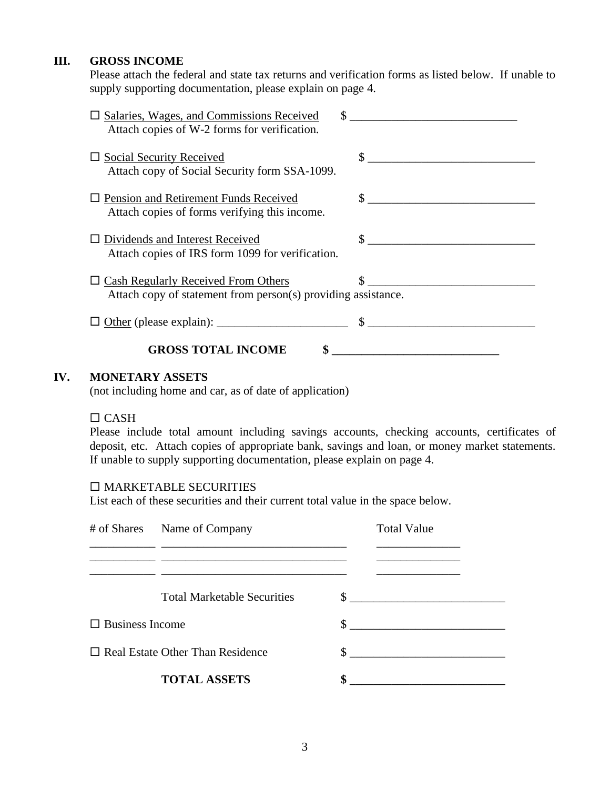### **III. GROSS INCOME**

Please attach the federal and state tax returns and verification forms as listed below. If unable to supply supporting documentation, please explain on page 4.

| $\square$ Salaries, Wages, and Commissions Received<br>Attach copies of W-2 forms for verification.                                                                                                                                                                                                            |                                                                                                                                                                                                                                                                                                                     |
|----------------------------------------------------------------------------------------------------------------------------------------------------------------------------------------------------------------------------------------------------------------------------------------------------------------|---------------------------------------------------------------------------------------------------------------------------------------------------------------------------------------------------------------------------------------------------------------------------------------------------------------------|
| $\Box$ Social Security Received<br>Attach copy of Social Security form SSA-1099.                                                                                                                                                                                                                               | $\frac{1}{2}$ $\frac{1}{2}$ $\frac{1}{2}$ $\frac{1}{2}$ $\frac{1}{2}$ $\frac{1}{2}$ $\frac{1}{2}$ $\frac{1}{2}$ $\frac{1}{2}$ $\frac{1}{2}$ $\frac{1}{2}$ $\frac{1}{2}$ $\frac{1}{2}$ $\frac{1}{2}$ $\frac{1}{2}$ $\frac{1}{2}$ $\frac{1}{2}$ $\frac{1}{2}$ $\frac{1}{2}$ $\frac{1}{2}$ $\frac{1}{2}$ $\frac{1}{2}$ |
| $\Box$ Pension and Retirement Funds Received<br>Attach copies of forms verifying this income.                                                                                                                                                                                                                  | $\mathbb{S}$                                                                                                                                                                                                                                                                                                        |
| $\Box$ Dividends and Interest Received<br>Attach copies of IRS form 1099 for verification.                                                                                                                                                                                                                     |                                                                                                                                                                                                                                                                                                                     |
| $\Box$ Cash Regularly Received From Others<br>Attach copy of statement from person(s) providing assistance.                                                                                                                                                                                                    |                                                                                                                                                                                                                                                                                                                     |
| Other (please explain): $\frac{1}{2}$ $\frac{1}{2}$ $\frac{1}{2}$ $\frac{1}{2}$ $\frac{1}{2}$ $\frac{1}{2}$ $\frac{1}{2}$ $\frac{1}{2}$ $\frac{1}{2}$ $\frac{1}{2}$ $\frac{1}{2}$ $\frac{1}{2}$ $\frac{1}{2}$ $\frac{1}{2}$ $\frac{1}{2}$ $\frac{1}{2}$ $\frac{1}{2}$ $\frac{1}{2}$ $\frac{1}{2}$ $\frac{1}{2$ |                                                                                                                                                                                                                                                                                                                     |
| <b>GROSS TOTAL INCOME</b>                                                                                                                                                                                                                                                                                      |                                                                                                                                                                                                                                                                                                                     |

### **IV. MONETARY ASSETS**

(not including home and car, as of date of application)

### $CASH$

Please include total amount including savings accounts, checking accounts, certificates of deposit, etc. Attach copies of appropriate bank, savings and loan, or money market statements. If unable to supply supporting documentation, please explain on page 4.

### $\square$  MARKETABLE SECURITIES

List each of these securities and their current total value in the space below.

|                        | # of Shares Name of Company<br><u> 1980 - Andrea Station, amerikansk politik (</u> † 1910) | <b>Total Value</b> |        |  |
|------------------------|--------------------------------------------------------------------------------------------|--------------------|--------|--|
|                        | <b>Total Marketable Securities</b>                                                         |                    | $\sim$ |  |
| $\Box$ Business Income |                                                                                            |                    |        |  |
|                        | $\Box$ Real Estate Other Than Residence                                                    |                    |        |  |
|                        | <b>TOTAL ASSETS</b>                                                                        | \$                 |        |  |